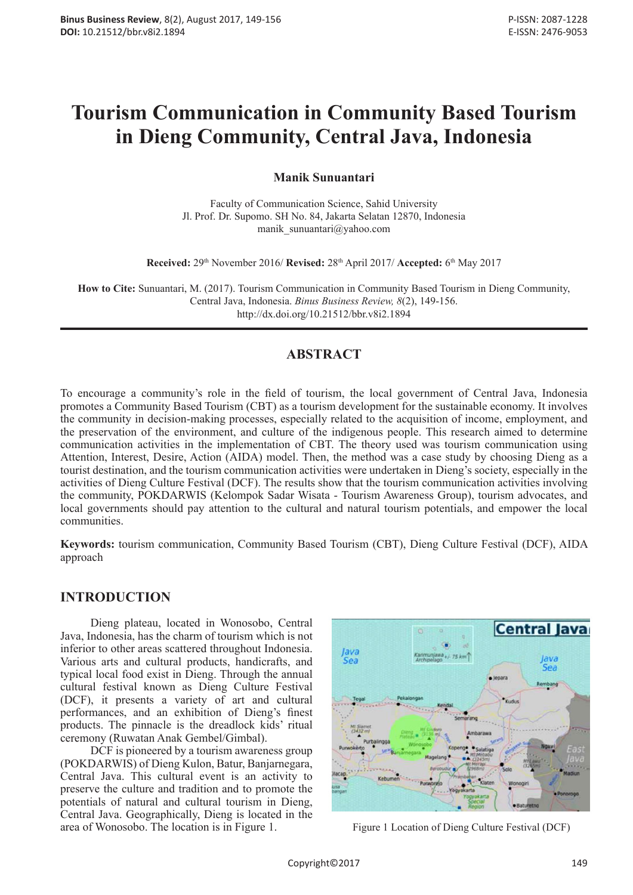# **Tourism Communication in Community Based Tourism in Dieng Community, Central Java, Indonesia**

**Manik Sunuantari**

Faculty of Communication Science, Sahid University Jl. Prof. Dr. Supomo. SH No. 84, Jakarta Selatan 12870, Indonesia manik\_sunuantari@yahoo.com

**Received:** 29th November 2016/ **Revised:** 28th April 2017/ **Accepted:** 6th May 2017

**How to Cite:** Sunuantari, M. (2017). Tourism Communication in Community Based Tourism in Dieng Community, Central Java, Indonesia. *Binus Business Review, 8*(2), 149-156. http://dx.doi.org/10.21512/bbr.v8i2.1894

## **ABSTRACT**

To encourage a community's role in the field of tourism, the local government of Central Java, Indonesia promotes a Community Based Tourism (CBT) as a tourism development for the sustainable economy. It involves the community in decision-making processes, especially related to the acquisition of income, employment, and the preservation of the environment, and culture of the indigenous people. This research aimed to determine communication activities in the implementation of CBT. The theory used was tourism communication using Attention, Interest, Desire, Action (AIDA) model. Then, the method was a case study by choosing Dieng as a tourist destination, and the tourism communication activities were undertaken in Dieng's society, especially in the activities of Dieng Culture Festival (DCF). The results show that the tourism communication activities involving the community, POKDARWIS (Kelompok Sadar Wisata - Tourism Awareness Group), tourism advocates, and local governments should pay attention to the cultural and natural tourism potentials, and empower the local communities.

**Keywords:** tourism communication, Community Based Tourism (CBT), Dieng Culture Festival (DCF), AIDA approach

### **INTRODUCTION**

Dieng plateau, located in Wonosobo, Central Java, Indonesia, has the charm of tourism which is not inferior to other areas scattered throughout Indonesia. Various arts and cultural products, handicrafts, and typical local food exist in Dieng. Through the annual cultural festival known as Dieng Culture Festival (DCF), it presents a variety of art and cultural performances, and an exhibition of Dieng's finest products. The pinnacle is the dreadlock kids' ritual ceremony (Ruwatan Anak Gembel/Gimbal).

DCF is pioneered by a tourism awareness group (POKDARWIS) of Dieng Kulon, Batur, Banjarnegara, Central Java. This cultural event is an activity to preserve the culture and tradition and to promote the potentials of natural and cultural tourism in Dieng, Central Java. Geographically, Dieng is located in the area of Wonosobo. The location is in Figure 1. Figure 1 Location of Dieng Culture Festival (DCF)

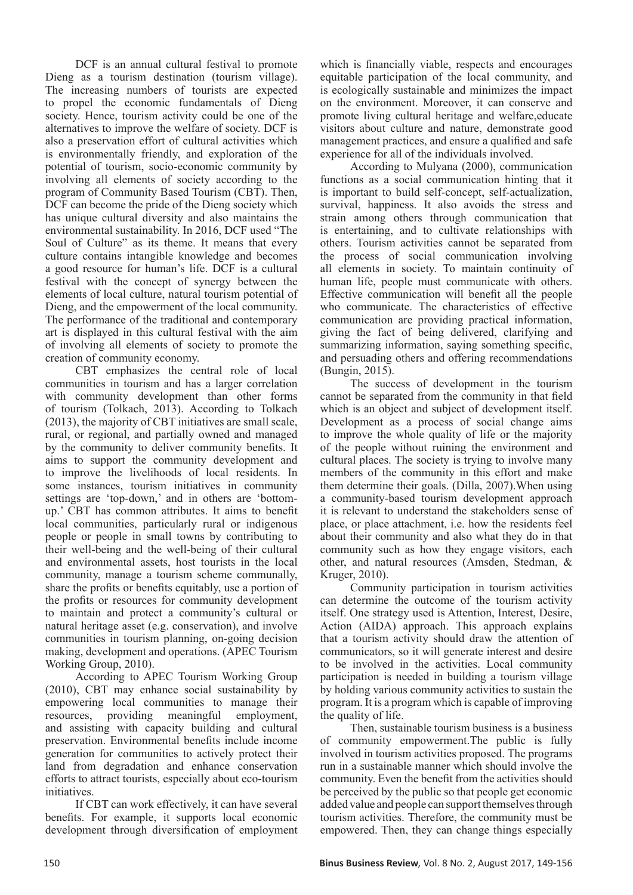DCF is an annual cultural festival to promote Dieng as a tourism destination (tourism village). The increasing numbers of tourists are expected to propel the economic fundamentals of Dieng society. Hence, tourism activity could be one of the alternatives to improve the welfare of society. DCF is also a preservation effort of cultural activities which is environmentally friendly, and exploration of the potential of tourism, socio-economic community by involving all elements of society according to the program of Community Based Tourism (CBT). Then, DCF can become the pride of the Dieng society which has unique cultural diversity and also maintains the environmental sustainability. In 2016, DCF used "The Soul of Culture" as its theme. It means that every culture contains intangible knowledge and becomes a good resource for human's life. DCF is a cultural festival with the concept of synergy between the elements of local culture, natural tourism potential of Dieng, and the empowerment of the local community. The performance of the traditional and contemporary art is displayed in this cultural festival with the aim of involving all elements of society to promote the creation of community economy.

CBT emphasizes the central role of local communities in tourism and has a larger correlation with community development than other forms of tourism (Tolkach, 2013). According to Tolkach (2013), the majority of CBT initiatives are small scale, rural, or regional, and partially owned and managed by the community to deliver community benefits. It aims to support the community development and to improve the livelihoods of local residents. In some instances, tourism initiatives in community settings are 'top-down,' and in others are 'bottomup.' CBT has common attributes. It aims to benefit local communities, particularly rural or indigenous people or people in small towns by contributing to their well-being and the well-being of their cultural and environmental assets, host tourists in the local community, manage a tourism scheme communally, share the profits or benefits equitably, use a portion of the profits or resources for community development to maintain and protect a community's cultural or natural heritage asset (e.g. conservation), and involve communities in tourism planning, on-going decision making, development and operations. (APEC Tourism Working Group, 2010).

According to APEC Tourism Working Group (2010), CBT may enhance social sustainability by empowering local communities to manage their resources, providing meaningful employment, and assisting with capacity building and cultural preservation. Environmental benefits include income generation for communities to actively protect their land from degradation and enhance conservation efforts to attract tourists, especially about eco-tourism initiatives.

If CBT can work effectively, it can have several benefits. For example, it supports local economic development through diversification of employment

which is financially viable, respects and encourages equitable participation of the local community, and is ecologically sustainable and minimizes the impact on the environment. Moreover, it can conserve and promote living cultural heritage and welfare,educate visitors about culture and nature, demonstrate good management practices, and ensure a qualified and safe experience for all of the individuals involved.

According to Mulyana (2000), communication functions as a social communication hinting that it is important to build self-concept, self-actualization, survival, happiness. It also avoids the stress and strain among others through communication that is entertaining, and to cultivate relationships with others. Tourism activities cannot be separated from the process of social communication involving all elements in society. To maintain continuity of human life, people must communicate with others. Effective communication will benefit all the people who communicate. The characteristics of effective communication are providing practical information, giving the fact of being delivered, clarifying and summarizing information, saying something specific, and persuading others and offering recommendations (Bungin, 2015).

The success of development in the tourism cannot be separated from the community in that field which is an object and subject of development itself. Development as a process of social change aims to improve the whole quality of life or the majority of the people without ruining the environment and cultural places. The society is trying to involve many members of the community in this effort and make them determine their goals. (Dilla, 2007).When using a community-based tourism development approach it is relevant to understand the stakeholders sense of place, or place attachment, i.e. how the residents feel about their community and also what they do in that community such as how they engage visitors, each other, and natural resources (Amsden, Stedman, & Kruger, 2010).

Community participation in tourism activities can determine the outcome of the tourism activity itself. One strategy used is Attention, Interest, Desire, Action (AIDA) approach. This approach explains that a tourism activity should draw the attention of communicators, so it will generate interest and desire to be involved in the activities. Local community participation is needed in building a tourism village by holding various community activities to sustain the program. It is a program which is capable of improving the quality of life.

Then, sustainable tourism business is a business of community empowerment.The public is fully involved in tourism activities proposed. The programs run in a sustainable manner which should involve the community. Even the benefit from the activities should be perceived by the public so that people get economic added value and people can support themselves through tourism activities. Therefore, the community must be empowered. Then, they can change things especially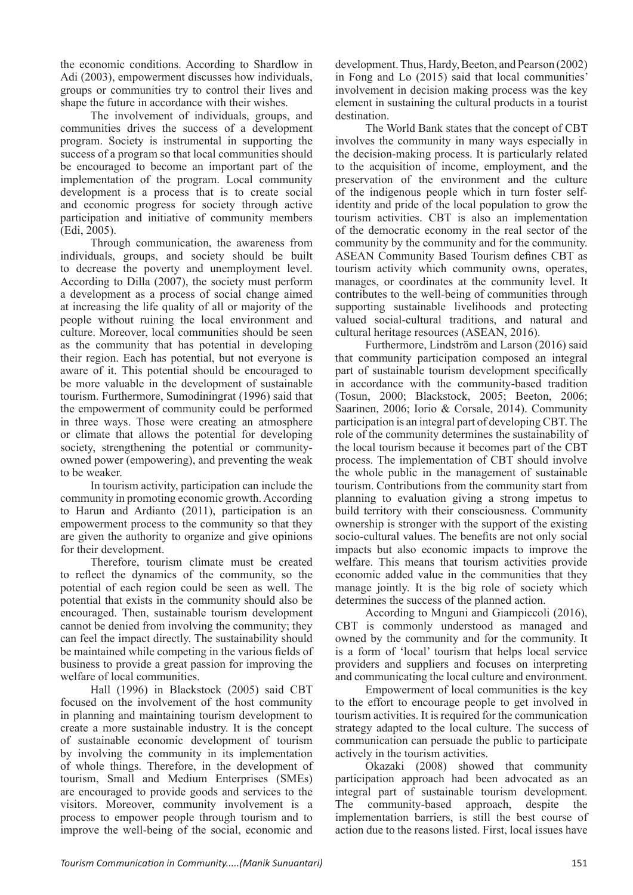the economic conditions. According to Shardlow in Adi (2003), empowerment discusses how individuals, groups or communities try to control their lives and shape the future in accordance with their wishes.

The involvement of individuals, groups, and communities drives the success of a development program. Society is instrumental in supporting the success of a program so that local communities should be encouraged to become an important part of the implementation of the program. Local community development is a process that is to create social and economic progress for society through active participation and initiative of community members (Edi, 2005).

Through communication, the awareness from individuals, groups, and society should be built to decrease the poverty and unemployment level. According to Dilla (2007), the society must perform a development as a process of social change aimed at increasing the life quality of all or majority of the people without ruining the local environment and culture. Moreover, local communities should be seen as the community that has potential in developing their region. Each has potential, but not everyone is aware of it. This potential should be encouraged to be more valuable in the development of sustainable tourism. Furthermore, Sumodiningrat (1996) said that the empowerment of community could be performed in three ways. Those were creating an atmosphere or climate that allows the potential for developing society, strengthening the potential or communityowned power (empowering), and preventing the weak to be weaker.

In tourism activity, participation can include the community in promoting economic growth. According to Harun and Ardianto (2011), participation is an empowerment process to the community so that they are given the authority to organize and give opinions for their development.

Therefore, tourism climate must be created to reflect the dynamics of the community, so the potential of each region could be seen as well. The potential that exists in the community should also be encouraged. Then, sustainable tourism development cannot be denied from involving the community; they can feel the impact directly. The sustainability should be maintained while competing in the various fields of business to provide a great passion for improving the welfare of local communities.

Hall (1996) in Blackstock (2005) said CBT focused on the involvement of the host community in planning and maintaining tourism development to create a more sustainable industry. It is the concept of sustainable economic development of tourism by involving the community in its implementation of whole things. Therefore, in the development of tourism, Small and Medium Enterprises (SMEs) are encouraged to provide goods and services to the visitors. Moreover, community involvement is a process to empower people through tourism and to improve the well-being of the social, economic and

development. Thus, Hardy, Beeton, and Pearson (2002) in Fong and Lo (2015) said that local communities' involvement in decision making process was the key element in sustaining the cultural products in a tourist destination.

The World Bank states that the concept of CBT involves the community in many ways especially in the decision-making process. It is particularly related to the acquisition of income, employment, and the preservation of the environment and the culture of the indigenous people which in turn foster selfidentity and pride of the local population to grow the tourism activities. CBT is also an implementation of the democratic economy in the real sector of the community by the community and for the community. ASEAN Community Based Tourism defines CBT as tourism activity which community owns, operates, manages, or coordinates at the community level. It contributes to the well-being of communities through supporting sustainable livelihoods and protecting valued social-cultural traditions, and natural and cultural heritage resources (ASEAN, 2016).

Furthermore, Lindström and Larson (2016) said that community participation composed an integral part of sustainable tourism development specifically in accordance with the community-based tradition (Tosun, 2000; Blackstock, 2005; Beeton, 2006; Saarinen, 2006; Iorio & Corsale, 2014). Community participation is an integral part of developing CBT. The role of the community determines the sustainability of the local tourism because it becomes part of the CBT process. The implementation of CBT should involve the whole public in the management of sustainable tourism. Contributions from the community start from planning to evaluation giving a strong impetus to build territory with their consciousness. Community ownership is stronger with the support of the existing socio-cultural values. The benefits are not only social impacts but also economic impacts to improve the welfare. This means that tourism activities provide economic added value in the communities that they manage jointly. It is the big role of society which determines the success of the planned action.

According to Mnguni and Giampiccoli (2016), CBT is commonly understood as managed and owned by the community and for the community. It is a form of 'local' tourism that helps local service providers and suppliers and focuses on interpreting and communicating the local culture and environment.

Empowerment of local communities is the key to the effort to encourage people to get involved in tourism activities. It is required for the communication strategy adapted to the local culture. The success of communication can persuade the public to participate actively in the tourism activities.

Okazaki (2008) showed that community participation approach had been advocated as an integral part of sustainable tourism development. The community-based approach, despite the implementation barriers, is still the best course of action due to the reasons listed. First, local issues have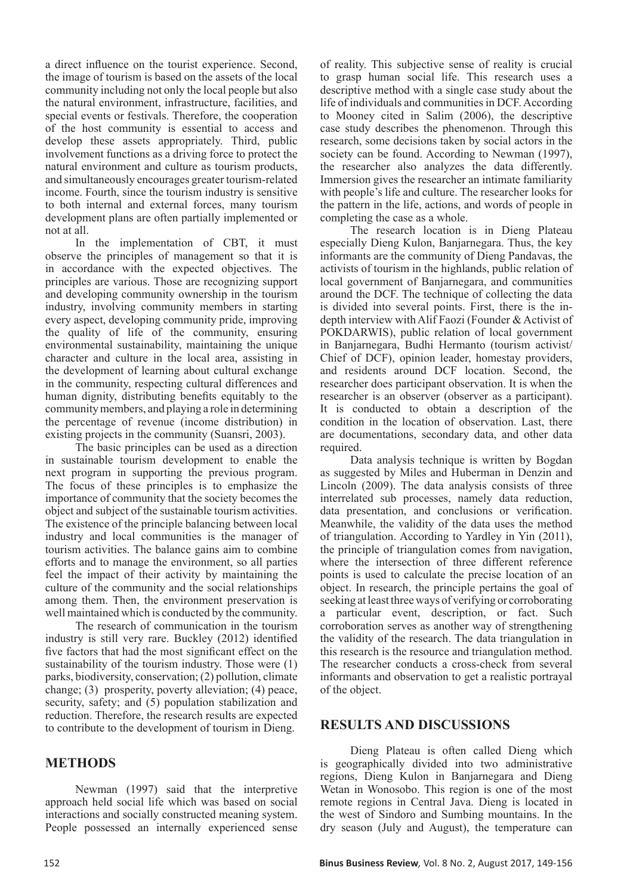a direct influence on the tourist experience. Second, the image of tourism is based on the assets of the local community including not only the local people but also the natural environment, infrastructure, facilities, and special events or festivals. Therefore, the cooperation of the host community is essential to access and develop these assets appropriately. Third, public involvement functions as a driving force to protect the natural environment and culture as tourism products, and simultaneously encourages greater tourism-related income. Fourth, since the tourism industry is sensitive to both internal and external forces, many tourism development plans are often partially implemented or not at all.

In the implementation of CBT, it must observe the principles of management so that it is in accordance with the expected objectives. The principles are various. Those are recognizing support and developing community ownership in the tourism industry, involving community members in starting every aspect, developing community pride, improving the quality of life of the community, ensuring environmental sustainability, maintaining the unique character and culture in the local area, assisting in the development of learning about cultural exchange in the community, respecting cultural differences and human dignity, distributing benefits equitably to the community members, and playing a role in determining the percentage of revenue (income distribution) in existing projects in the community (Suansri, 2003).

The basic principles can be used as a direction in sustainable tourism development to enable the next program in supporting the previous program. The focus of these principles is to emphasize the importance of community that the society becomes the object and subject of the sustainable tourism activities. The existence of the principle balancing between local industry and local communities is the manager of tourism activities. The balance gains aim to combine efforts and to manage the environment, so all parties feel the impact of their activity by maintaining the culture of the community and the social relationships among them. Then, the environment preservation is well maintained which is conducted by the community.

The research of communication in the tourism industry is still very rare. Buckley (2012) identified five factors that had the most significant effect on the sustainability of the tourism industry. Those were (1) parks, biodiversity, conservation; (2) pollution, climate change; (3) prosperity, poverty alleviation; (4) peace, security, safety; and (5) population stabilization and reduction. Therefore, the research results are expected to contribute to the development of tourism in Dieng.

## **METHODS**

Newman (1997) said that the interpretive approach held social life which was based on social interactions and socially constructed meaning system. People possessed an internally experienced sense

of reality. This subjective sense of reality is crucial to grasp human social life. This research uses a descriptive method with a single case study about the life of individuals and communities in DCF. According to Mooney cited in Salim (2006), the descriptive case study describes the phenomenon. Through this research, some decisions taken by social actors in the society can be found. According to Newman (1997), the researcher also analyzes the data differently. Immersion gives the researcher an intimate familiarity with people's life and culture. The researcher looks for the pattern in the life, actions, and words of people in completing the case as a whole.

The research location is in Dieng Plateau especially Dieng Kulon, Banjarnegara. Thus, the key informants are the community of Dieng Pandavas, the activists of tourism in the highlands, public relation of local government of Banjarnegara, and communities around the DCF. The technique of collecting the data is divided into several points. First, there is the indepth interview with Alif Faozi (Founder & Activist of POKDARWIS), public relation of local government in Banjarnegara, Budhi Hermanto (tourism activist/ Chief of DCF), opinion leader, homestay providers, and residents around DCF location. Second, the researcher does participant observation. It is when the researcher is an observer (observer as a participant). It is conducted to obtain a description of the condition in the location of observation. Last, there are documentations, secondary data, and other data required.

Data analysis technique is written by Bogdan as suggested by Miles and Huberman in Denzin and Lincoln (2009). The data analysis consists of three interrelated sub processes, namely data reduction, data presentation, and conclusions or verification. Meanwhile, the validity of the data uses the method of triangulation. According to Yardley in Yin (2011), the principle of triangulation comes from navigation, where the intersection of three different reference points is used to calculate the precise location of an object. In research, the principle pertains the goal of seeking at least three ways of verifying or corroborating a particular event, description, or fact. Such corroboration serves as another way of strengthening the validity of the research. The data triangulation in this research is the resource and triangulation method. The researcher conducts a cross-check from several informants and observation to get a realistic portrayal of the object.

## **RESULTS AND DISCUSSIONS**

Dieng Plateau is often called Dieng which is geographically divided into two administrative regions, Dieng Kulon in Banjarnegara and Dieng Wetan in Wonosobo. This region is one of the most remote regions in Central Java. Dieng is located in the west of Sindoro and Sumbing mountains. In the dry season (July and August), the temperature can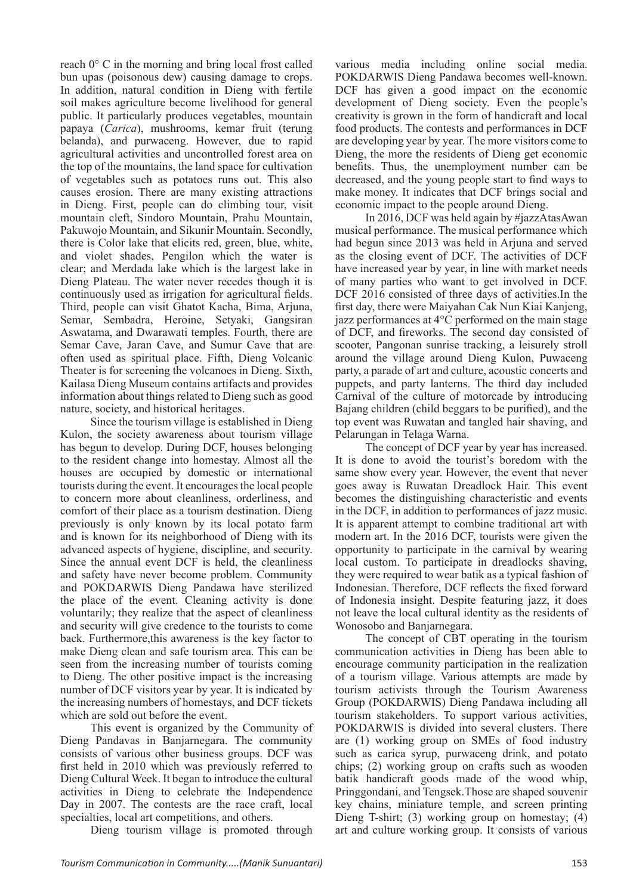reach 0° C in the morning and bring local frost called bun upas (poisonous dew) causing damage to crops. In addition, natural condition in Dieng with fertile soil makes agriculture become livelihood for general public. It particularly produces vegetables, mountain papaya (*Carica*), mushrooms, kemar fruit (terung belanda), and purwaceng. However, due to rapid agricultural activities and uncontrolled forest area on the top of the mountains, the land space for cultivation of vegetables such as potatoes runs out. This also causes erosion. There are many existing attractions in Dieng. First, people can do climbing tour, visit mountain cleft, Sindoro Mountain, Prahu Mountain, Pakuwojo Mountain, and Sikunir Mountain. Secondly, there is Color lake that elicits red, green, blue, white, and violet shades, Pengilon which the water is clear; and Merdada lake which is the largest lake in Dieng Plateau. The water never recedes though it is continuously used as irrigation for agricultural fields. Third, people can visit Ghatot Kacha, Bima, Arjuna, Semar, Sembadra, Heroine, Setyaki, Gangsiran Aswatama, and Dwarawati temples. Fourth, there are Semar Cave, Jaran Cave, and Sumur Cave that are often used as spiritual place. Fifth, Dieng Volcanic Theater is for screening the volcanoes in Dieng. Sixth, Kailasa Dieng Museum contains artifacts and provides information about things related to Dieng such as good nature, society, and historical heritages.

Since the tourism village is established in Dieng Kulon, the society awareness about tourism village has begun to develop. During DCF, houses belonging to the resident change into homestay. Almost all the houses are occupied by domestic or international tourists during the event. It encourages the local people to concern more about cleanliness, orderliness, and comfort of their place as a tourism destination. Dieng previously is only known by its local potato farm and is known for its neighborhood of Dieng with its advanced aspects of hygiene, discipline, and security. Since the annual event DCF is held, the cleanliness and safety have never become problem. Community and POKDARWIS Dieng Pandawa have sterilized the place of the event. Cleaning activity is done voluntarily; they realize that the aspect of cleanliness and security will give credence to the tourists to come back. Furthermore,this awareness is the key factor to make Dieng clean and safe tourism area. This can be seen from the increasing number of tourists coming to Dieng. The other positive impact is the increasing number of DCF visitors year by year. It is indicated by the increasing numbers of homestays, and DCF tickets which are sold out before the event.

This event is organized by the Community of Dieng Pandavas in Banjarnegara. The community consists of various other business groups. DCF was first held in 2010 which was previously referred to Dieng Cultural Week. It began to introduce the cultural activities in Dieng to celebrate the Independence Day in 2007. The contests are the race craft, local specialties, local art competitions, and others.

Dieng tourism village is promoted through

various media including online social media. POKDARWIS Dieng Pandawa becomes well-known. DCF has given a good impact on the economic development of Dieng society. Even the people's creativity is grown in the form of handicraft and local food products. The contests and performances in DCF are developing year by year. The more visitors come to Dieng, the more the residents of Dieng get economic benefits. Thus, the unemployment number can be decreased, and the young people start to find ways to make money. It indicates that DCF brings social and economic impact to the people around Dieng.

In 2016, DCF was held again by #jazzAtasAwan musical performance. The musical performance which had begun since 2013 was held in Arjuna and served as the closing event of DCF. The activities of DCF have increased year by year, in line with market needs of many parties who want to get involved in DCF. DCF 2016 consisted of three days of activities.In the first day, there were Maiyahan Cak Nun Kiai Kanjeng, jazz performances at 4°C performed on the main stage of DCF, and fireworks. The second day consisted of scooter, Pangonan sunrise tracking, a leisurely stroll around the village around Dieng Kulon, Puwaceng party, a parade of art and culture, acoustic concerts and puppets, and party lanterns. The third day included Carnival of the culture of motorcade by introducing Bajang children (child beggars to be purified), and the top event was Ruwatan and tangled hair shaving, and Pelarungan in Telaga Warna.

The concept of DCF year by year has increased. It is done to avoid the tourist's boredom with the same show every year. However, the event that never goes away is Ruwatan Dreadlock Hair. This event becomes the distinguishing characteristic and events in the DCF, in addition to performances of jazz music. It is apparent attempt to combine traditional art with modern art. In the 2016 DCF, tourists were given the opportunity to participate in the carnival by wearing local custom. To participate in dreadlocks shaving, they were required to wear batik as a typical fashion of Indonesian. Therefore, DCF reflects the fixed forward of Indonesia insight. Despite featuring jazz, it does not leave the local cultural identity as the residents of Wonosobo and Banjarnegara.

The concept of CBT operating in the tourism communication activities in Dieng has been able to encourage community participation in the realization of a tourism village. Various attempts are made by tourism activists through the Tourism Awareness Group (POKDARWIS) Dieng Pandawa including all tourism stakeholders. To support various activities, POKDARWIS is divided into several clusters. There are (1) working group on SMEs of food industry such as carica syrup, purwaceng drink, and potato chips; (2) working group on crafts such as wooden batik handicraft goods made of the wood whip, Pringgondani, and Tengsek.Those are shaped souvenir key chains, miniature temple, and screen printing Dieng T-shirt; (3) working group on homestay; (4) art and culture working group. It consists of various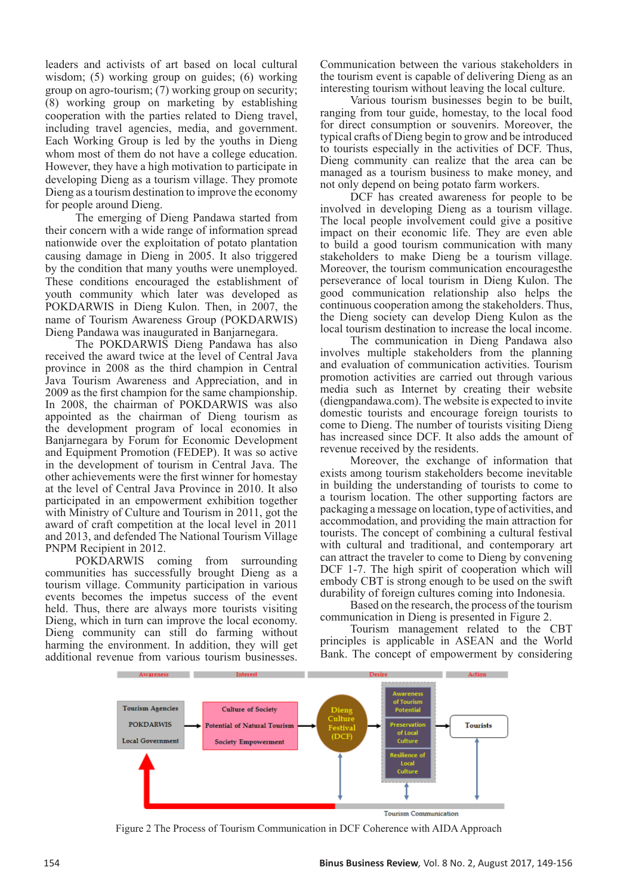leaders and activists of art based on local cultural wisdom; (5) working group on guides; (6) working group on agro-tourism; (7) working group on security; (8) working group on marketing by establishing cooperation with the parties related to Dieng travel, including travel agencies, media, and government. Each Working Group is led by the youths in Dieng whom most of them do not have a college education. However, they have a high motivation to participate in developing Dieng as a tourism village. They promote Dieng as a tourism destination to improve the economy for people around Dieng.

The emerging of Dieng Pandawa started from their concern with a wide range of information spread nationwide over the exploitation of potato plantation causing damage in Dieng in 2005. It also triggered by the condition that many youths were unemployed. These conditions encouraged the establishment of youth community which later was developed as POKDARWIS in Dieng Kulon. Then, in 2007, the name of Tourism Awareness Group (POKDARWIS) Dieng Pandawa was inaugurated in Banjarnegara.

The POKDARWIS Dieng Pandawa has also received the award twice at the level of Central Java province in 2008 as the third champion in Central Java Tourism Awareness and Appreciation, and in 2009 as the first champion for the same championship. In 2008, the chairman of POKDARWIS was also appointed as the chairman of Dieng tourism as the development program of local economies in Banjarnegara by Forum for Economic Development and Equipment Promotion (FEDEP). It was so active in the development of tourism in Central Java. The other achievements were the first winner for homestay at the level of Central Java Province in 2010. It also participated in an empowerment exhibition together with Ministry of Culture and Tourism in 2011, got the award of craft competition at the local level in 2011 and 2013, and defended The National Tourism Village PNPM Recipient in 2012.

POKDARWIS coming from surrounding communities has successfully brought Dieng as a tourism village. Community participation in various events becomes the impetus success of the event held. Thus, there are always more tourists visiting Dieng, which in turn can improve the local economy. Dieng community can still do farming without harming the environment. In addition, they will get additional revenue from various tourism businesses.

Communication between the various stakeholders in the tourism event is capable of delivering Dieng as an interesting tourism without leaving the local culture.

Various tourism businesses begin to be built, ranging from tour guide, homestay, to the local food for direct consumption or souvenirs. Moreover, the typical crafts of Dieng begin to grow and be introduced to tourists especially in the activities of DCF. Thus, Dieng community can realize that the area can be managed as a tourism business to make money, and not only depend on being potato farm workers.

DCF has created awareness for people to be involved in developing Dieng as a tourism village. The local people involvement could give a positive impact on their economic life. They are even able to build a good tourism communication with many stakeholders to make Dieng be a tourism village. Moreover, the tourism communication encouragesthe perseverance of local tourism in Dieng Kulon. The good communication relationship also helps the continuous cooperation among the stakeholders. Thus, the Dieng society can develop Dieng Kulon as the local tourism destination to increase the local income.

The communication in Dieng Pandawa also involves multiple stakeholders from the planning and evaluation of communication activities. Tourism promotion activities are carried out through various media such as Internet by creating their website (diengpandawa.com). The website is expected to invite domestic tourists and encourage foreign tourists to come to Dieng. The number of tourists visiting Dieng has increased since DCF. It also adds the amount of revenue received by the residents.

Moreover, the exchange of information that exists among tourism stakeholders become inevitable in building the understanding of tourists to come to a tourism location. The other supporting factors are packaging a message on location, type of activities, and accommodation, and providing the main attraction for tourists. The concept of combining a cultural festival with cultural and traditional, and contemporary art can attract the traveler to come to Dieng by convening DCF 1-7. The high spirit of cooperation which will embody CBT is strong enough to be used on the swift durability of foreign cultures coming into Indonesia.

Based on the research, the process of the tourism communication in Dieng is presented in Figure 2.

Tourism management related to the CBT principles is applicable in ASEAN and the World Bank. The concept of empowerment by considering



**Tourism Communication** 

Figure 2 The Process of Tourism Communication in DCF Coherence with AIDA Approach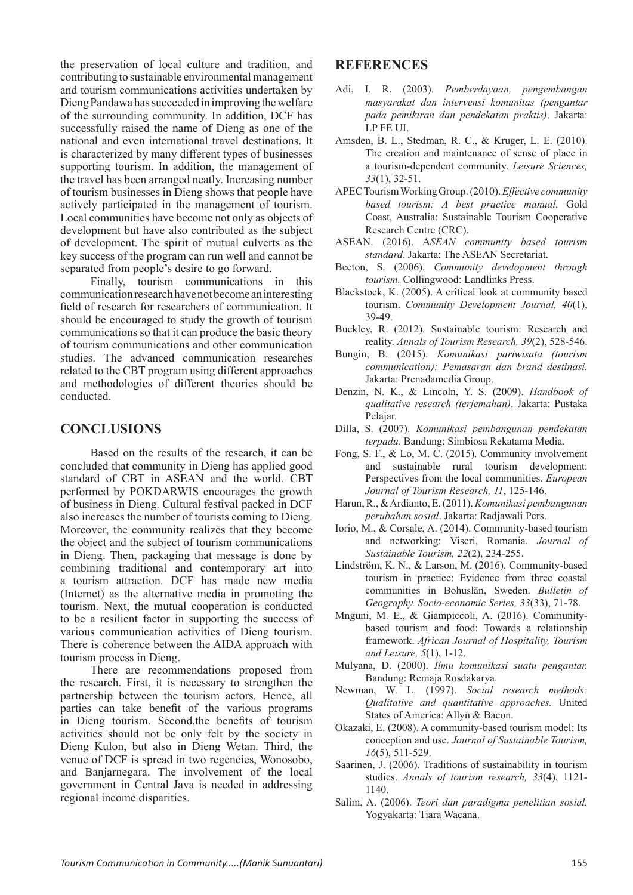the preservation of local culture and tradition, and contributing to sustainable environmental management and tourism communications activities undertaken by Dieng Pandawa has succeeded in improving the welfare of the surrounding community. In addition, DCF has successfully raised the name of Dieng as one of the national and even international travel destinations. It is characterized by many different types of businesses supporting tourism. In addition, the management of the travel has been arranged neatly. Increasing number of tourism businesses in Dieng shows that people have actively participated in the management of tourism. Local communities have become not only as objects of development but have also contributed as the subject of development. The spirit of mutual culverts as the key success of the program can run well and cannot be separated from people's desire to go forward.

Finally, tourism communications in this communication research have not become an interesting field of research for researchers of communication. It should be encouraged to study the growth of tourism communications so that it can produce the basic theory of tourism communications and other communication studies. The advanced communication researches related to the CBT program using different approaches and methodologies of different theories should be conducted.

### **CONCLUSIONS**

Based on the results of the research, it can be concluded that community in Dieng has applied good standard of CBT in ASEAN and the world. CBT performed by POKDARWIS encourages the growth of business in Dieng. Cultural festival packed in DCF also increases the number of tourists coming to Dieng. Moreover, the community realizes that they become the object and the subject of tourism communications in Dieng. Then, packaging that message is done by combining traditional and contemporary art into a tourism attraction. DCF has made new media (Internet) as the alternative media in promoting the tourism. Next, the mutual cooperation is conducted to be a resilient factor in supporting the success of various communication activities of Dieng tourism. There is coherence between the AIDA approach with tourism process in Dieng.

There are recommendations proposed from the research. First, it is necessary to strengthen the partnership between the tourism actors. Hence, all parties can take benefit of the various programs in Dieng tourism. Second,the benefits of tourism activities should not be only felt by the society in Dieng Kulon, but also in Dieng Wetan. Third, the venue of DCF is spread in two regencies, Wonosobo, and Banjarnegara. The involvement of the local government in Central Java is needed in addressing regional income disparities.

### **REFERENCES**

- Adi, I. R. (2003). *Pemberdayaan, pengembangan masyarakat dan intervensi komunitas (pengantar pada pemikiran dan pendekatan praktis)*. Jakarta: LP FE UI.
- Amsden, B. L., Stedman, R. C., & Kruger, L. E. (2010). The creation and maintenance of sense of place in a tourism-dependent community. *Leisure Sciences, 33*(1), 32-51.
- APEC Tourism Working Group. (2010). *Effective community based tourism: A best practice manual.* Gold Coast, Australia: Sustainable Tourism Cooperative Research Centre (CRC).
- ASEAN. (2016). A*SEAN community based tourism standard*. Jakarta: The ASEAN Secretariat.
- Beeton, S. (2006). *Community development through tourism.* Collingwood: Landlinks Press.
- Blackstock, K. (2005). A critical look at community based tourism. *Community Development Journal, 40*(1), 39-49.
- Buckley, R. (2012). Sustainable tourism: Research and reality. *Annals of Tourism Research, 39*(2), 528-546.
- Bungin, B. (2015). *Komunikasi pariwisata (tourism communication): Pemasaran dan brand destinasi.*  Jakarta: Prenadamedia Group.
- Denzin, N. K., & Lincoln, Y. S. (2009). *Handbook of qualitative research (terjemahan)*. Jakarta: Pustaka Pelajar.
- Dilla, S. (2007). *Komunikasi pembangunan pendekatan terpadu.* Bandung: Simbiosa Rekatama Media.
- Fong, S. F., & Lo, M. C. (2015). Community involvement and sustainable rural tourism development: Perspectives from the local communities. *European Journal of Tourism Research, 11*, 125-146.
- Harun, R., & Ardianto, E. (2011). *Komunikasi pembangunan perubahan sosial*. Jakarta: Radjawali Pers.
- Iorio, M., & Corsale, A. (2014). Community-based tourism and networking: Viscri, Romania. *Journal of Sustainable Tourism, 22*(2), 234-255.
- Lindström, K. N., & Larson, M. (2016). Community-based tourism in practice: Evidence from three coastal communities in Bohuslän, Sweden. *Bulletin of Geography. Socio-economic Series, 33*(33), 71-78.
- Mnguni, M. E., & Giampiccoli, A. (2016). Communitybased tourism and food: Towards a relationship framework. *African Journal of Hospitality, Tourism and Leisure, 5*(1), 1-12.
- Mulyana, D. (2000). *Ilmu komunikasi suatu pengantar.*  Bandung: Remaja Rosdakarya.
- Newman, W. L. (1997). *Social research methods: Qualitative and quantitative approaches.* United States of America: Allyn & Bacon.
- Okazaki, E. (2008). A community-based tourism model: Its conception and use. *Journal of Sustainable Tourism, 16*(5), 511-529.
- Saarinen, J. (2006). Traditions of sustainability in tourism studies. *Annals of tourism research, 33*(4), 1121- 1140.
- Salim, A. (2006). *Teori dan paradigma penelitian sosial.*  Yogyakarta: Tiara Wacana.